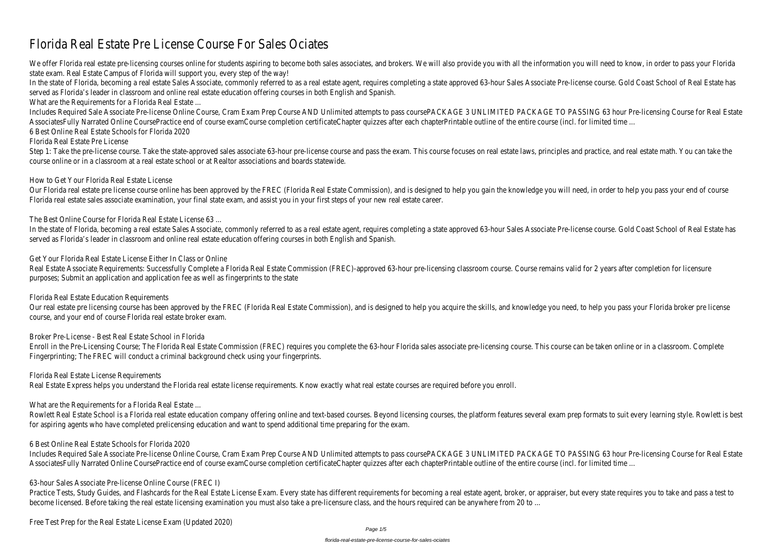# Florida Real Estate Pre License Course For Sales Ociates

We offer Florida real estate pre-licensing courses online for students aspiring to become both sales associates, and brokers. We will also provide you with all the information you will need to know, in order to pass your F state exam. Real Estate Campus of Florida will support you, every step of the way!

In the state of Florida, becoming a real estate Sales Associate, commonly referred to as a real estate agent, requires completing a state approved 63-hour Sales Associate Pre-license course. Gold Coast School of Real Estat served as Florida's leader in classroom and online real estate education offering courses in both English and Spanish.

What are the Requirements for a Florida Real Estate ...

Step 1: Take the pre-license course. Take the state-approved sales associate 63-hour pre-license course and pass the exam. This course focuses on real estate laws, principles and practice, and real estate math. You can tak course online or in a classroom at a real estate school or at Realtor associations and boards statewide.

Our Florida real estate pre license course online has been approved by the FREC (Florida Real Estate Commission), and is designed to help you gain the knowledge you will need, in order to help you pass your end of course Florida real estate sales associate examination, your final state exam, and assist you in your first steps of your new real estate career.

Includes Required Sale Associate Pre-license Online Course, Cram Exam Prep Course AND Unlimited attempts to pass coursePACKAGE 3 UNLIMITED PACKAGE TO PASSING 63 hour Pre-licensing Course for Real Estate AssociatesFully Narrated Online CoursePractice end of course examCourse completion certificateChapter quizzes after each chapterPrintable outline of the entire course (incl. for limited time ... 6 Best Online Real Estate Schools for Florida 2020

In the state of Florida, becoming a real estate Sales Associate, commonly referred to as a real estate agent, requires completing a state approved 63-hour Sales Associate Pre-license course. Gold Coast School of Real Estat served as Florida's leader in classroom and online real estate education offering courses in both English and Spanish.

Florida Real Estate Pre License

Real Estate Associate Requirements: Successfully Complete a Florida Real Estate Commission (FREC)-approved 63-hour pre-licensing classroom course. Course remains valid for 2 years after completion for licensure purposes; Submit an application and application fee as well as fingerprints to the state

Our real estate pre licensing course has been approved by the FREC (Florida Real Estate Commission), and is designed to help you acquire the skills, and knowledge you need, to help you pass your Florida broker pre license course, and your end of course Florida real estate broker exam.

How to Get Your Florida Real Estate License

The Best Online Course for Florida Real Estate License 63 ...

Rowlett Real Estate School is a Florida real estate education company offering online and text-based courses. Beyond licensing courses, the platform features several exam prep formats to suit every learning style. Rowlett for aspiring agents who have completed prelicensing education and want to spend additional time preparing for the exam.

Get Your Florida Real Estate License Either In Class or Online

Practice Tests, Study Guides, and Flashcards for the Real Estate License Exam. Every state has different requirements for becoming a real estate agent, broker, or appraiser, but every state requires you to take and pass a become licensed. Before taking the real estate licensing examination you must also take a pre-licensure class, and the hours required can be anywhere from 20 to ...

Florida Real Estate Education Requirements

Broker Pre-License - Best Real Estate School in Florida

Enroll in the Pre-Licensing Course; The Florida Real Estate Commission (FREC) requires you complete the 63-hour Florida sales associate pre-licensing course. This course can be taken online or in a classroom. Complete Fingerprinting; The FREC will conduct a criminal background check using your fingerprints.

Florida Real Estate License Requirements

Real Estate Express helps you understand the Florida real estate license requirements. Know exactly what real estate courses are required before you enroll.

What are the Requirements for a Florida Real Estate ...

6 Best Online Real Estate Schools for Florida 2020

Includes Required Sale Associate Pre-license Online Course, Cram Exam Prep Course AND Unlimited attempts to pass coursePACKAGE 3 UNLIMITED PACKAGE TO PASSING 63 hour Pre-licensing Course for Real Estate AssociatesFully Narrated Online CoursePractice end of course examCourse completion certificateChapter quizzes after each chapterPrintable outline of the entire course (incl. for limited time ...

63-hour Sales Associate Pre-license Online Course (FREC I)

Free Test Prep for the Real Estate License Exam (Updated 2020)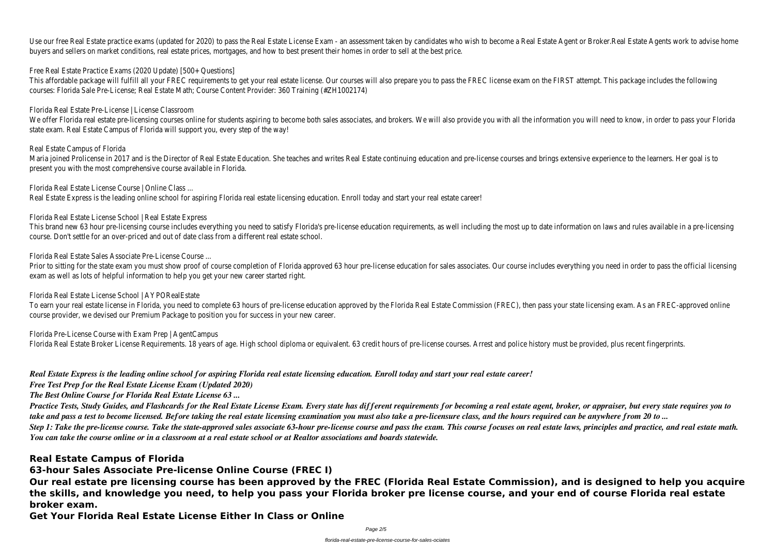Use our free Real Estate practice exams (updated for 2020) to pass the Real Estate License Exam - an assessment taken by candidates who wish to become a Real Estate Agent or Broker.Real Estate Agents work to advise home buyers and sellers on market conditions, real estate prices, mortgages, and how to best present their homes in order to sell at the best price.

Free Real Estate Practice Exams (2020 Update) [500+ Questions]

We offer Florida real estate pre-licensing courses online for students aspiring to become both sales associates, and brokers. We will also provide you with all the information you will need to know, in order to pass your F state exam. Real Estate Campus of Florida will support you, every step of the way!

This affordable package will fulfill all your FREC requirements to get your real estate license. Our courses will also prepare you to pass the FREC license exam on the FIRST attempt. This package includes the following courses: Florida Sale Pre-License; Real Estate Math; Course Content Provider: 360 Training (#ZH1002174)

Florida Real Estate Pre-License | License Classroom

This brand new 63 hour pre-licensing course includes everything you need to satisfy Florida's pre-license education requirements, as well including the most up to date information on laws and rules available in a pre-licen course. Don't settle for an over-priced and out of date class from a different real estate school.

### Real Estate Campus of Florida

Prior to sitting for the state exam you must show proof of course completion of Florida approved 63 hour pre-license education for sales associates. Our course includes everything you need in order to pass the official lic exam as well as lots of helpful information to help you get your new career started right.

Maria joined Prolicense in 2017 and is the Director of Real Estate Education. She teaches and writes Real Estate continuing education and pre-license courses and brings extensive experience to the learners. Her goal is to present you with the most comprehensive course available in Florida.

Florida Real Estate License Course | Online Class ...

Real Estate Express is the leading online school for aspiring Florida real estate licensing education. Enroll today and start your real estate career!

Florida Real Estate License School | Real Estate Express

Florida Real Estate Sales Associate Pre-License Course ...

Florida Real Estate License School | AYPORealEstate

To earn your real estate license in Florida, you need to complete 63 hours of pre-license education approved by the Florida Real Estate Commission (FREC), then pass your state licensing exam. As an FREC-approved online course provider, we devised our Premium Package to position you for success in your new career.

Florida Pre-License Course with Exam Prep | AgentCampus

Florida Real Estate Broker License Requirements. 18 years of age. High school diploma or equivalent. 63 credit hours of pre-license courses. Arrest and police history must be provided, plus recent fingerprints.

*Real Estate Express is the leading online school for aspiring Florida real estate licensing education. Enroll today and start your real estate career!*

*Free Test Prep for the Real Estate License Exam (Updated 2020)*

*The Best Online Course for Florida Real Estate License 63 ...*

*Practice Tests, Study Guides, and Flashcards for the Real Estate License Exam. Every state has different requirements for becoming a real estate agent, broker, or appraiser, but every state requires you to take and pass a test to become licensed. Before taking the real estate licensing examination you must also take a pre-licensure class, and the hours required can be anywhere from 20 to ... Step 1: Take the pre-license course. Take the state-approved sales associate 63-hour pre-license course and pass the exam. This course focuses on real estate laws, principles and practice, and real estate math. You can take the course online or in a classroom at a real estate school or at Realtor associations and boards statewide.*

# **Real Estate Campus of Florida**

**63-hour Sales Associate Pre-license Online Course (FREC I)**

**Our real estate pre licensing course has been approved by the FREC (Florida Real Estate Commission), and is designed to help you acquire the skills, and knowledge you need, to help you pass your Florida broker pre license course, and your end of course Florida real estate broker exam.**

**Get Your Florida Real Estate License Either In Class or Online**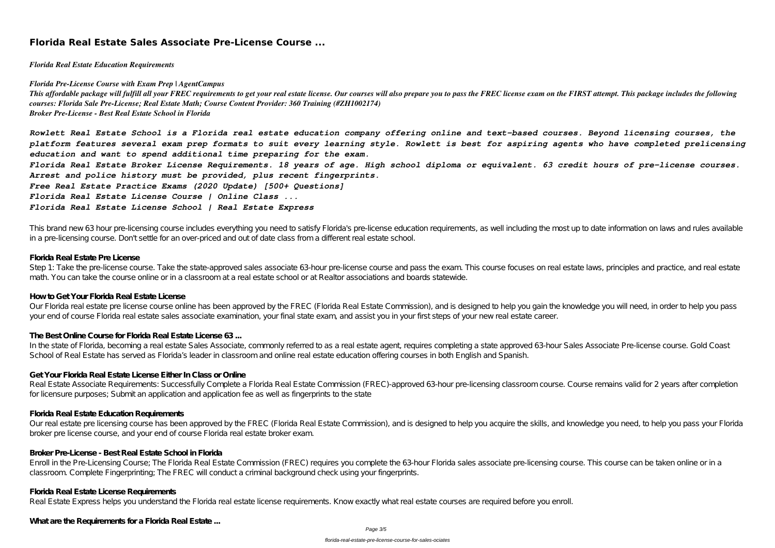# **Florida Real Estate Sales Associate Pre-License Course ...**

*Florida Real Estate Education Requirements*

*Florida Pre-License Course with Exam Prep | AgentCampus*

This affordable package will fulfill all your FREC requirements to get your real estate license. Our courses will also prepare you to pass the FREC license exam on the FIRST attempt. This package includes the following *courses: Florida Sale Pre-License; Real Estate Math; Course Content Provider: 360 Training (#ZH1002174) Broker Pre-License - Best Real Estate School in Florida*

*Rowlett Real Estate School is a Florida real estate education company offering online and text-based courses. Beyond licensing courses, the platform features several exam prep formats to suit every learning style. Rowlett is best for aspiring agents who have completed prelicensing education and want to spend additional time preparing for the exam. Florida Real Estate Broker License Requirements. 18 years of age. High school diploma or equivalent. 63 credit hours of pre-license courses. Arrest and police history must be provided, plus recent fingerprints.*

Step 1: Take the pre-license course. Take the state-approved sales associate 63-hour pre-license course and pass the exam. This course focuses on real estate laws, principles and practice, and real estate math. You can take the course online or in a classroom at a real estate school or at Realtor associations and boards statewide.

*Free Real Estate Practice Exams (2020 Update) [500+ Questions]*

*Florida Real Estate License Course | Online Class ...*

In the state of Florida, becoming a real estate Sales Associate, commonly referred to as a real estate agent, requires completing a state approved 63-hour Sales Associate Pre-license course. Gold Coast School of Real Estate has served as Florida's leader in classroom and online real estate education offering courses in both English and Spanish.

*Florida Real Estate License School | Real Estate Express*

This brand new 63 hour pre-licensing course includes everything you need to satisfy Florida's pre-license education requirements, as well including the most up to date information on laws and rules available in a pre-licensing course. Don't settle for an over-priced and out of date class from a different real estate school.

#### **Florida Real Estate Pre License**

#### **How to Get Your Florida Real Estate License**

Our Florida real estate pre license course online has been approved by the FREC (Florida Real Estate Commission), and is designed to help you gain the knowledge you will need, in order to help you pass your end of course Florida real estate sales associate examination, your final state exam, and assist you in your first steps of your new real estate career.

#### **The Best Online Course for Florida Real Estate License 63 ...**

#### **Get Your Florida Real Estate License Either In Class or Online**

Real Estate Associate Requirements: Successfully Complete a Florida Real Estate Commission (FREC)-approved 63-hour pre-licensing classroom course. Course remains valid for 2 years after completion for licensure purposes; Submit an application and application fee as well as fingerprints to the state

#### **Florida Real Estate Education Requirements**

Our real estate pre licensing course has been approved by the FREC (Florida Real Estate Commission), and is designed to help you acquire the skills, and knowledge you need, to help you pass your Florida broker pre license course, and your end of course Florida real estate broker exam.

#### **Broker Pre-License - Best Real Estate School in Florida**

Enroll in the Pre-Licensing Course; The Florida Real Estate Commission (FREC) requires you complete the 63-hour Florida sales associate pre-licensing course. This course can be taken online or in a classroom. Complete Fingerprinting; The FREC will conduct a criminal background check using your fingerprints.

#### **Florida Real Estate License Requirements**

Real Estate Express helps you understand the Florida real estate license requirements. Know exactly what real estate courses are required before you enroll.

**What are the Requirements for a Florida Real Estate ...**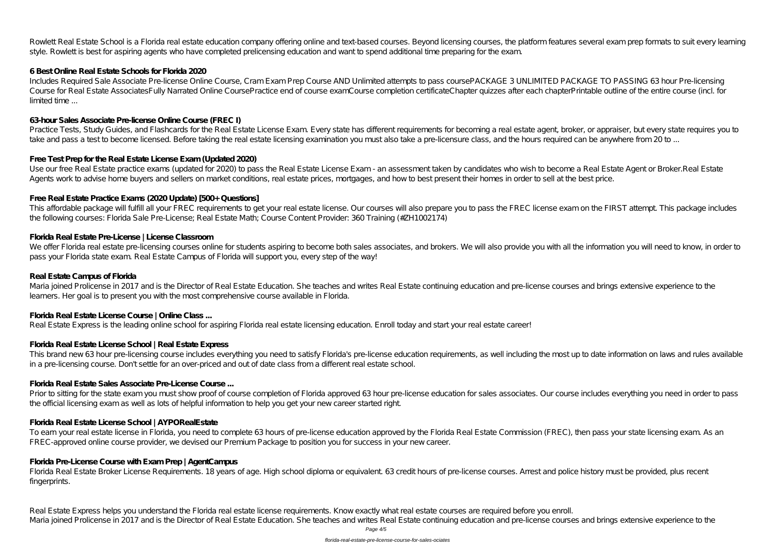Rowlett Real Estate School is a Florida real estate education company offering online and text-based courses. Beyond licensing courses, the platform features several exam prep formats to suit every learning style. Rowlett is best for aspiring agents who have completed prelicensing education and want to spend additional time preparing for the exam.

#### **6 Best Online Real Estate Schools for Florida 2020**

Includes Required Sale Associate Pre-license Online Course, Cram Exam Prep Course AND Unlimited attempts to pass coursePACKAGE 3 UNLIMITED PACKAGE TO PASSING 63 hour Pre-licensing Course for Real Estate AssociatesFully Narrated Online CoursePractice end of course examCourse completion certificateChapter quizzes after each chapterPrintable outline of the entire course (incl. for limited time ...

### **63-hour Sales Associate Pre-license Online Course (FREC I)**

Practice Tests, Study Guides, and Flashcards for the Real Estate License Exam. Every state has different requirements for becoming a real estate agent, broker, or appraiser, but every state requires you to take and pass a test to become licensed. Before taking the real estate licensing examination you must also take a pre-licensure class, and the hours required can be anywhere from 20 to ...

Use our free Real Estate practice exams (updated for 2020) to pass the Real Estate License Exam - an assessment taken by candidates who wish to become a Real Estate Agent or Broker.Real Estate Agents work to advise home buyers and sellers on market conditions, real estate prices, mortgages, and how to best present their homes in order to sell at the best price.

We offer Florida real estate pre-licensing courses online for students aspiring to become both sales associates, and brokers. We will also provide you with all the information you will need to know, in order to pass your Florida state exam. Real Estate Campus of Florida will support you, every step of the way!

### **Free Test Prep for the Real Estate License Exam (Updated 2020)**

### **Free Real Estate Practice Exams (2020 Update) [500+ Questions]**

Prior to sitting for the state exam you must show proof of course completion of Florida approved 63 hour pre-license education for sales associates. Our course includes everything you need in order to pass the official licensing exam as well as lots of helpful information to help you get your new career started right.

This affordable package will fulfill all your FREC requirements to get your real estate license. Our courses will also prepare you to pass the FREC license exam on the FIRST attempt. This package includes the following courses: Florida Sale Pre-License; Real Estate Math; Course Content Provider: 360 Training (#ZH1002174)

Florida Real Estate Broker License Requirements. 18 years of age. High school diploma or equivalent. 63 credit hours of pre-license courses. Arrest and police history must be provided, plus recent fingerprints.

### **Florida Real Estate Pre-License | License Classroom**

#### **Real Estate Campus of Florida**

Maria joined Prolicense in 2017 and is the Director of Real Estate Education. She teaches and writes Real Estate continuing education and pre-license courses and brings extensive experience to the learners. Her goal is to present you with the most comprehensive course available in Florida.

### **Florida Real Estate License Course | Online Class ...**

Real Estate Express is the leading online school for aspiring Florida real estate licensing education. Enroll today and start your real estate career!

### **Florida Real Estate License School | Real Estate Express**

This brand new 63 hour pre-licensing course includes everything you need to satisfy Florida's pre-license education requirements, as well including the most up to date information on laws and rules available in a pre-licensing course. Don't settle for an over-priced and out of date class from a different real estate school.

#### **Florida Real Estate Sales Associate Pre-License Course ...**

#### **Florida Real Estate License School | AYPORealEstate**

To earn your real estate license in Florida, you need to complete 63 hours of pre-license education approved by the Florida Real Estate Commission (FREC), then pass your state licensing exam. As an FREC-approved online course provider, we devised our Premium Package to position you for success in your new career.

#### **Florida Pre-License Course with Exam Prep | AgentCampus**

Real Estate Express helps you understand the Florida real estate license requirements. Know exactly what real estate courses are required before you enroll. Maria joined Prolicense in 2017 and is the Director of Real Estate Education. She teaches and writes Real Estate continuing education and pre-license courses and brings extensive experience to the

Page 4/5